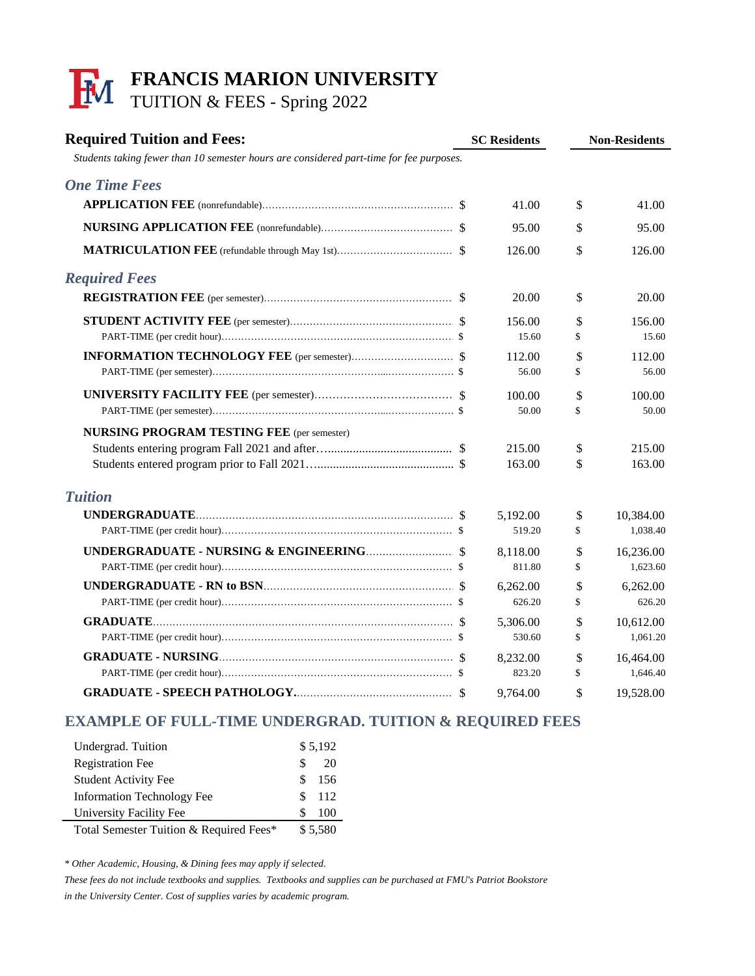## **FRANCIS MARION UNIVERSITY** TUITION & FEES - Spring 2022

| <b>Required Tuition and Fees:</b><br>Students taking fewer than 10 semester hours are considered part-time for fee purposes. | <b>SC Residents</b> |                 | <b>Non-Residents</b> |                 |
|------------------------------------------------------------------------------------------------------------------------------|---------------------|-----------------|----------------------|-----------------|
| <b>One Time Fees</b>                                                                                                         |                     |                 |                      |                 |
|                                                                                                                              |                     | 41.00           | \$                   | 41.00           |
|                                                                                                                              |                     | 95.00           | \$                   | 95.00           |
|                                                                                                                              |                     | 126.00          | \$                   | 126.00          |
| <b>Required Fees</b>                                                                                                         |                     |                 |                      |                 |
|                                                                                                                              |                     | 20.00           | \$                   | 20.00           |
|                                                                                                                              |                     | 156.00<br>15.60 | \$<br>\$             | 156.00<br>15.60 |
|                                                                                                                              |                     | 112.00          | \$                   | 112.00          |
|                                                                                                                              |                     | 56.00           | \$                   | 56.00           |
|                                                                                                                              |                     | 100.00          | \$                   | 100.00          |
|                                                                                                                              |                     | 50.00           | \$                   | 50.00           |
| <b>NURSING PROGRAM TESTING FEE</b> (per semester)                                                                            |                     |                 |                      |                 |
|                                                                                                                              |                     | 215.00          | \$                   | 215.00          |
|                                                                                                                              |                     | 163.00          | \$                   | 163.00          |
| <b>Tuition</b>                                                                                                               |                     |                 |                      |                 |
|                                                                                                                              |                     | 5,192.00        | \$                   | 10,384.00       |
|                                                                                                                              |                     | 519.20          | \$                   | 1,038.40        |
|                                                                                                                              |                     | 8,118.00        | \$                   | 16,236.00       |
|                                                                                                                              |                     | 811.80          | \$                   | 1,623.60        |
|                                                                                                                              |                     | 6,262.00        | \$                   | 6,262.00        |
|                                                                                                                              |                     | 626.20          | \$                   | 626.20          |
|                                                                                                                              |                     | 5,306.00        | \$                   | 10,612.00       |
|                                                                                                                              |                     | 530.60          | \$                   | 1,061.20        |
|                                                                                                                              |                     | 8,232.00        | \$                   | 16,464.00       |
|                                                                                                                              |                     | 823.20          | \$                   | 1,646.40        |
|                                                                                                                              |                     | 9,764.00        | \$                   | 19,528.00       |

## **EXAMPLE OF FULL-TIME UNDERGRAD. TUITION & REQUIRED FEES**

| Undergrad. Tuition                      |     | \$5,192 |  |  |
|-----------------------------------------|-----|---------|--|--|
| <b>Registration Fee</b>                 | S   | 20      |  |  |
| <b>Student Activity Fee</b>             | \$. | 156     |  |  |
| <b>Information Technology Fee</b>       | S   | 112     |  |  |
| University Facility Fee                 | S   | 100     |  |  |
| Total Semester Tuition & Required Fees* |     | \$5,580 |  |  |

*\* Other Academic, Housing, & Dining fees may apply if selected.*

*These fees do not include textbooks and supplies. Textbooks and supplies can be purchased at FMU's Patriot Bookstore in the University Center. Cost of supplies varies by academic program.*